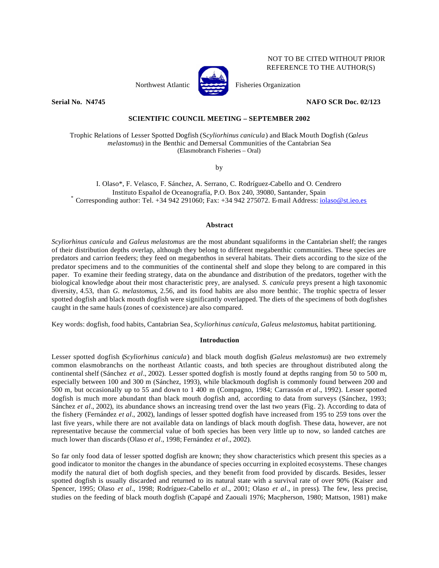## NOT TO BE CITED WITHOUT PRIOR REFERENCE TO THE AUTHOR(S)





## **Serial No. N4745 NAFO SCR Doc. 02/123**

# **SCIENTIFIC COUNCIL MEETING – SEPTEMBER 2002**

Trophic Relations of Lesser Spotted Dogfish (S*cyliorhinus canicula*) and Black Mouth Dogfish (G*aleus melastomus*) in the Benthic and Demersal Communities of the Cantabrian Sea (Elasmobranch Fisheries – Oral)

by

I. Olaso\*, F. Velasco, F. Sánchez, A. Serrano, C. Rodríguez-Cabello and O. Cendrero Instituto Español de Oceanografía, P.O. Box 240, 39080, Santander, Spain Corresponding author: Tel.  $+34$  942 291060; Fax:  $+34$  942 275072. E-mail Address: iolaso@st.ieo.es

## **Abstract**

*Scyliorhinus canicula* and *Galeus melastomus* are the most abundant squaliforms in the Cantabrian shelf; the ranges of their distribution depths overlap, although they belong to different megabenthic communities. These species are predators and carrion feeders; they feed on megabenthos in several habitats. Their diets according to the size of the predator specimens and to the communities of the continental shelf and slope they belong to are compared in this paper. To examine their feeding strategy, data on the abundance and distribution of the predators, together with the biological knowledge about their most characteristic prey, are analysed. *S. canicula* preys present a high taxonomic diversity, 4.53, than *G. melastomus*, 2.56, and its food habits are also more benthic. The trophic spectra of lesser spotted dogfish and black mouth dogfish were significantly overlapped. The diets of the specimens of both dogfishes caught in the same hauls (zones of coexistence) are also compared.

Key words: dogfish, food habits, Cantabrian Sea, *Scyliorhinus canicula*, *Galeus melastomus*, habitat partitioning.

## **Introduction**

Lesser spotted dogfish (*Scyliorhinus canicula*) and black mouth dogfish (*Galeus melastomus*) are two extremely common elasmobranchs on the northeast Atlantic coasts, and both species are throughout distributed along the continental shelf (Sánchez *et al*., 2002). Lesser spotted dogfish is mostly found at depths ranging from 50 to 500 m, especially between 100 and 300 m (Sánchez, 1993), while blackmouth dogfish is commonly found between 200 and 500 m, but occasionally up to 55 and down to 1 400 m (Compagno, 1984; Carrassón *et al*., 1992). Lesser spotted dogfish is much more abundant than black mouth dogfish and, according to data from surveys (Sánchez, 1993; Sánchez *et al.*, 2002), its abundance shows an increasing trend over the last two years (Fig. 2). According to data of the fishery (Fernández *et al.*, 2002), landings of lesser spotted dogfish have increased from 195 to 259 tons over the last five years, while there are not available data on landings of black mouth dogfish. These data, however, are not representative because the commercial value of both species has been very little up to now, so landed catches are much lower than discards (Olaso *et al*., 1998; Fernández *et al*., 2002).

So far only food data of lesser spotted dogfish are known; they show characteristics which present this species as a good indicator to monitor the changes in the abundance of species occurring in exploited ecosystems. These changes modify the natural diet of both dogfish species, and they benefit from food provided by discards. Besides, lesser spotted dogfish is usually discarded and returned to its natural state with a survival rate of over 90% (Kaiser and Spencer, 1995; Olaso *et al*., 1998; Rodríguez-Cabello *et al*., 2001; Olaso *et al*., in press). The few, less precise, studies on the feeding of black mouth dogfish (Capapé and Zaouali 1976; Macpherson, 1980; Mattson, 1981) make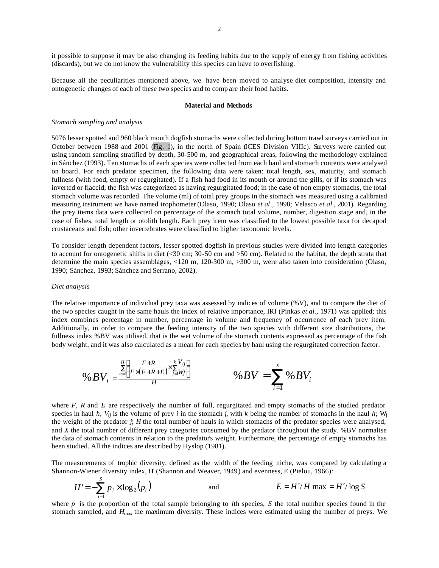it possible to suppose it may be also changing its feeding habits due to the supply of energy from fishing activities (discards), but we do not know the vulnerability this species can have to overfishing.

Because all the peculiarities mentioned above, we have been moved to analyse diet composition, intensity and ontogenetic changes of each of these two species and to comp are their food habits.

#### **Material and Methods**

## *Stomach sampling and analysis*

5076 lesser spotted and 960 black mouth dogfish stomachs were collected during bottom trawl surveys carried out in October between 1988 and 2001 (Fig. 1), in the north of Spain (ICES Division VIIIc). Surveys were carried out using random sampling stratified by depth, 30-500 m, and geographical areas, following the methodology explained in Sánchez (1993). Ten stomachs of each species were collected from each haul and stomach contents were analysed on board. For each predator specimen, the following data were taken: total length, sex, maturity, and stomach fullness (with food, empty or regurgitated). If a fish had food in its mouth or around the gills, or if its stomach was inverted or flaccid, the fish was categorized as having regurgitated food; in the case of non empty stomachs, the total stomach volume was recorded. The volume (ml) of total prey groups in the stomach was measured using a calibrated measuring instrument we have named trophometer (Olaso, 1990; Olaso *et al*., 1998; Velasco *et al*., 2001). Regarding the prey items data were collected on percentage of the stomach total volume, number, digestion stage and, in the case of fishes, total length or otolith length. Each prey item was classified to the lowest possible taxa for decapod crustaceans and fish; other invertebrates were classified to higher taxonomic levels.

To consider length dependent factors, lesser spotted dogfish in previous studies were divided into length categories to account for ontogenetic shifts in diet (<30 cm; 30-50 cm and >50 cm). Related to the habitat, the depth strata that determine the main species assemblages, <120 m, 120-300 m, >300 m, were also taken into consideration (Olaso, 1990; Sánchez, 1993; Sánchez and Serrano, 2002).

## *Diet analysis*

*S*

The relative importance of individual prey taxa was assessed by indices of volume (%V), and to compare the diet of the two species caught in the same hauls the index of relative importance, IRI (Pinkas *et al.,* 1971) was applied; this index combines percentage in number, percentage in volume and frequency of occurrence of each prey item. Additionally, in order to compare the feeding intensity of the two species with different size distributions, the fullness index %BV was utilised, that is the wet volume of the stomach contents expressed as percentage of the fish body weight, and it was also calculated as a mean for each species by haul using the regurgitated correction factor.

$$
\%BV_i = \frac{\sum\limits_{h=1}^{H} \left[ \frac{F+R}{F \times (F+R+E)} \times \sum\limits_{j=1}^{k} \frac{V_{ij}}{W_j} \right]}{H} \qquad \%BV = \sum\limits_{i=1}^{x} \%BV_i
$$

where *F*, *R* and *E* are respectively the number of full, regurgitated and empty stomachs of the studied predator species in haul *h*;  $V_{ii}$  is the volume of prey *i* in the stomach *j*, with *k* being the number of stomachs in the haul *h*; W<sub>i</sub> the weight of the predator *j*; *H* the total number of hauls in which stomachs of the predator species were analysed, and *X* the total number of different prey categories consumed by the predator throughout the study. %BV normalise the data of stomach contents in relation to the predator's weight. Furthermore, the percentage of empty stomachs has been studied. All the indices are described by Hyslop (1981).

The measurements of trophic diversity, defined as the width of the feeding niche, was compared by calculating a Shannon-Wiener diversity index, H' (Shannon and Weaver, 1949) and evenness, E (Pielou, 1966):

$$
H' = -\sum_{i=1}^{S} p_i \times \log_2(p_i)
$$
 and 
$$
E = H'/H \max = H'/\log S
$$

where  $p_i$  is the proportion of the total sample belonging to *i*th species, *S* the total number species found in the stomach sampled, and  $H_{\text{max}}$  the maximum diversity. These indices were estimated using the number of preys. We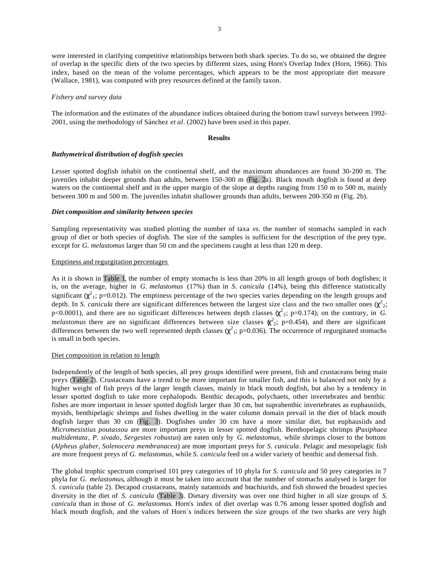were interested in clarifying competitive relationships between both shark species. To do so, we obtained the degree of overlap in the specific diets of the two species by different sizes, using Horn's Overlap Index (Horn, 1966). This index, based on the mean of the volume percentages, which appears to be the most appropriate diet measure (Wallace, 1981), was computed with prey resources defined at the family taxon.

#### *Fishery and survey data*

The information and the estimates of the abundance indices obtained during the bottom trawl surveys between 1992- 2001, using the methodology of Sánchez *et al*. (2002) have been used in this paper.

#### **Results**

## *Bathymetrical distribution of dogfish species*

Lesser spotted dogfish inhabit on the continental shelf, and the maximum abundances are found 30-200 m. The juveniles inhabit deeper grounds than adults, between 150-300 m (Fig. 2a). Black mouth dogfish is found at deep waters on the continental shelf and in the upper margin of the slope at depths ranging from 150 m to 500 m, mainly between 300 m and 500 m. The juveniles inhabit shallower grounds than adults, between 200-350 m (Fig. 2b).

## *Diet composition and similarity between species*

Sampling representativity was studied plotting the number of taxa *vs*. the number of stomachs sampled in each group of diet or both species of dogfish. The size of the samples is sufficient for the description of the prey type, except for *G. melastomus* larger than 50 cm and the specimens caught at less than 120 m deep.

## Emptiness and regurgitation percentages

As it is shown in Table 1, the number of empty stomachs is less than 20% in all length groups of both dogfishes; it is, on the average, higher in *G. melastomus* (17%) than in *S. canicula* (14%), being this difference statistically significant  $(\chi^2)_1$ ; p=0.012). The emptiness percentage of the two species varies depending on the length groups and depth. In *S. canicula* there are significant differences between the largest size class and the two smaller ones  $(\chi^2)_2$ ; p<0.0001), and there are no significant differences between depth classes  $\chi^2$ <sub>2</sub>; p=0.174); on the contrary, in *G*. *melastomus* there are no significant differences between size classes  $\chi^2$ ; p=0.454), and there are significant differences between the two well represented depth classes  $(\chi^2)$ ; p=0.036). The occurrence of regurgitated stomachs is small in both species.

#### Diet composition in relation to length

Independently of the length of both species, all prey groups identified were present, fish and crustaceans being main preys (Table 2). Crustaceans have a trend to be more important for smaller fish, and this is balanced not only by a higher weight of fish preys of the larger length classes, mainly in black mouth dogfish, but also by a tendency in lesser spotted dogfish to take more cephalopods. Benthic decapods, polychaets, other invertebrates and benthic fishes are more important in lesser spotted dogfish larger than 30 cm, but suprabenthic invertebrates as euphausiids, mysids, benthipelagic shrimps and fishes dwelling in the water column domain prevail in the diet of black mouth dogfish larger than 30 cm (Fig. 3). Dogfishes under 30 cm have a more similar diet, but euphausiids and *Micromesistius poutassou* are more important preys in lesser spotted dogfish. Benthopelagic shrimps (*Pasiphaea multidentata*, *P. sivado*, *Sergestes robustus*) are eaten only by *G. melastomus,* while shrimps closer to the bottom (*Alpheus glaber*, *Solenocera membranacea*) are more important preys for *S. canicula*. Pelagic and mesopelagic fish are more frequent preys of *G. melastomus,* while *S. canicula* feed on a wider variety of benthic and demersal fish.

The global trophic spectrum comprised 101 prey categories of 10 phyla for *S. canicula* and 50 prey categories in 7 phyla for *G. melastomus*, although it must be taken into account that the number of stomachs analysed is larger for *S. canicula* (table 2). Decapod crustaceans, mainly natantoids and brachiurids, and fish showed the broadest species diversity in the diet of *S. canicula* (Table 3). Dietary diversity was over one third higher in all size groups of *S. canicula* than in those of *G. melastomus*. Horn's index of diet overlap was 0.76 among lesser spotted dogfish and black mouth dogfish, and the values of Horn´s indices between the size groups of the two sharks are very high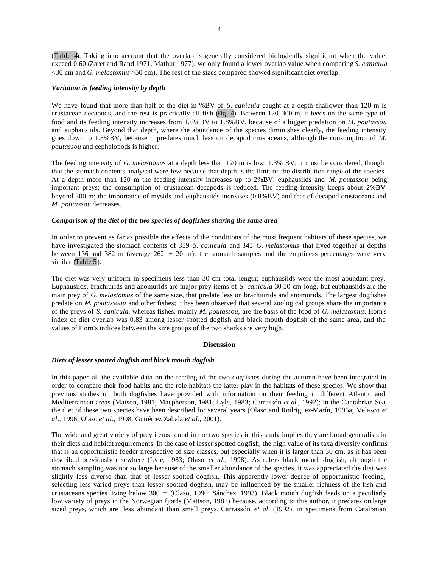(Table 4). Taking into account that the overlap is generally considered biologically significant when the value exceed 0.60 (Zaret and Rand 1971, Mathur 1977), we only found a lower overlap value when comparing *S. canicula* <30 cm and *G. melastomus* >50 cm). The rest of the sizes compared showed significant diet overlap.

## *Variation in feeding intensity by depth*

We have found that more than half of the diet in %BV of *S. canicula* caught at a depth shallower than 120 m is crustacean decapods, and the rest is practically all fish (Fig. 4). Between 120-300 m, it feeds on the same type of food and its feeding intensity increases from 1.6%BV to 1.8%BV, because of a bigger predation on *M. poutassou*  and euphausiids. Beyond that depth, where the abundance of the species diminishes clearly, the feeding intensity goes down to 1.5%BV, because it predates much less on decapod crustaceans, although the consumption of *M. poutassou* and cephalopods is higher.

The feeding intensity of *G. melastomus* at a depth less than 120 m is low, 1.3% BV; it must be considered, though, that the stomach contents analysed were few because that depth is the limit of the distribution range of the species. At a depth more than 120 m the feeding intensity increases up to 2%BV, euphausiids and *M. poutassou* being important preys; the consumption of crustacean decapods is reduced. The feeding intensity keeps about 2%BV beyond 300 m; the importance of mysids and euphausiids increases (0.8%BV) and that of decapod crustaceans and *M. poutassou* decreases.

# *Comparison of the diet of the two species of dogfishes sharing the same area*

In order to prevent as far as possible the effects of the conditions of the most frequent habitats of these species, we have investigated the stomach contents of 359 *S. canicula* and 345 *G. melastomus* that lived together at depths between 136 and 382 m (average  $262 + 20$  m); the stomach samples and the emptiness percentages were very similar (Table 5).

The diet was very uniform in specimens less than 30 cm total length; euphausiids were the most abundant prey. Euphausiids, brachiurids and anomurids are major prey items of *S. canicula* 30-50 cm long, but euphausiids are the main prey of *G. melastomus* of the same size, that predate less on brachiurids and anomurids. The largest dogfishes predate on *M. poutassouu* and other fishes; it has been observed that several zoological groups share the importance of the preys of *S. canicula*, whereas fishes, mainly *M. poutassou,* are the basis of the food of *G. melastomus*. Horn's index of diet overlap was 0.83 among lesser spotted dogfish and black mouth dogfish of the same area, and the values of Horn's indices between the size groups of the two sharks are very high.

#### **Discussion**

## *Diets of lesser spotted dogfish and black mouth dogfish*

In this paper all the available data on the feeding of the two dogfishes during the autumn have been integrated in order to compare their food habits and the role habitats the latter play in the habitats of these species. We show that previous studies on both dogfishes have provided with information on their feeding in different Atlantic and Mediterranean areas (Matson, 1981; Macpherson, 1981; Lyle, 1983; Carrassón *et al.,* 1992); in the Cantabrian Sea, the diet of these two species have been described for several years (Olaso and Rodríguez-Marín, 1995a; Velasco *et al*., 1996; Olaso *et al*., 1998; Gutiérrez Zabala *et al*., 2001).

The wide and great variety of prey items found in the two species in this study implies they are broad generalists in their diets and habitat requirements. In the case of lesser spotted dogfish, the high value of its taxa diversity confirms that is an opportunistic feeder irrespective of size classes, but especially when it is larger than 30 cm, as it has been described previously elsewhere (Lyle, 1983; Olaso *et al*., 1998). As refers black mouth dogfish, although the stomach sampling was not so large because of the smaller abundance of the species, it was appreciated the diet was slightly less diverse than that of lesser spotted dogfish. This apparently lower degree of opportunistic feeding, selecting less varied preys than lesser spotted dogfish, may be influenced by the smaller richness of the fish and crustaceans species living below 300 m (Olaso, 1990; Sánchez, 1993). Black mouth dogfish feeds on a peculiarly low variety of preys in the Norwegian fjords (Mattson, 1981) because, according to this author, it predates on large sized preys, which are less abundant than small preys. Carrassón *et al*. (1992), in specimens from Catalonian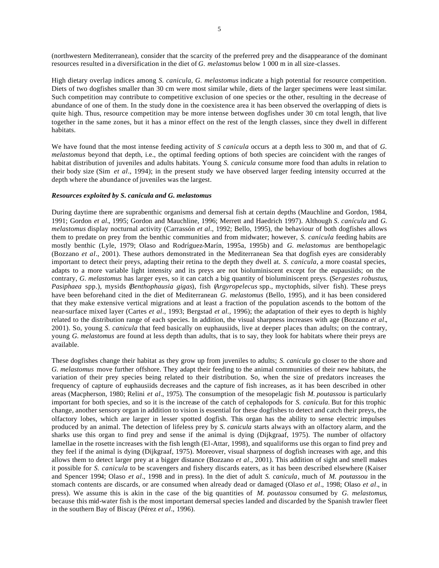(northwestern Mediterranean), consider that the scarcity of the preferred prey and the disappearance of the dominant resources resulted in a diversification in the diet of *G. melastomus* below 1 000 m in all size-classes.

High dietary overlap indices among *S. canicula, G. melastomus* indicate a high potential for resource competition. Diets of two dogfishes smaller than 30 cm were most similar while, diets of the larger specimens were least similar. Such competition may contribute to competitive exclusion of one species or the other, resulting in the decrease of abundance of one of them. In the study done in the coexistence area it has been observed the overlapping of diets is quite high. Thus, resource competition may be more intense between dogfishes under 30 cm total length, that live together in the same zones, but it has a minor effect on the rest of the length classes, since they dwell in different habitats.

We have found that the most intense feeding activity of *S canicula* occurs at a depth less to 300 m, and that of *G*. *melastomus* beyond that depth, i.e., the optimal feeding options of both species are coincident with the ranges of habitat distribution of juveniles and adults habitats. Young *S. canicula* consume more food than adults in relation to their body size (Sim *et al*., 1994); in the present study we have observed larger feeding intensity occurred at the depth where the abundance of juveniles was the largest.

## *Resources exploited by S. canicula and G. melastomus*

During daytime there are suprabenthic organisms and demersal fish at certain depths (Mauchline and Gordon, 1984, 1991; Gordon *et al.*, 1995; Gordon and Mauchline, 1996; Merrett and Haedrich 1997). Although *S. canícula* and *G. melastomus* display nocturnal activity (Carrassón *et al*., 1992; Bello, 1995), the behaviour of both dogfishes allows them to predate on prey from the benthic communities and from midwater; however, *S. canicula* feeding habits are mostly benthic (Lyle, 1979; Olaso and Rodríguez-Marín, 1995a, 1995b) and *G. melastomus* are benthopelagic (Bozzano *et al*., 2001). These authors demonstrated in the Mediterranean Sea that dogfish eyes are considerably important to detect their preys, adapting their retina to the depth they dwell at. *S. canicula*, a more coastal species, adapts to a more variable light intensity and its preys are not bioluminiscent except for the eupausiids; on the contrary, *G. melastomus* has larger eyes, so it can catch a big quantity of bioluminiscent preys. (*Sergestes robustus*, *Pasiphaea* spp.), mysids (*Benthophausia gigas*), fish (*Argyropelecus* spp., myctophids, silver fish). These preys have been beforehand cited in the diet of Mediterranean *G. melastomus* (Bello, 1995), and it has been considered that they make extensive vertical migrations and at least a fraction of the population ascends to the bottom of the near-surface mixed layer (Cartes *et al*., 1993; Bergstad *et al.,* 1996); the adaptation of their eyes to depth is highly related to the distribution range of each species. In addition, the visual sharpness increases with age (Bozzano *et al*., 2001). So, young *S. canicula* that feed basically on euphausiids, live at deeper places than adults; on the contrary, young *G. melastomus* are found at less depth than adults, that is to say, they look for habitats where their preys are available.

These dogfishes change their habitat as they grow up from juveniles to adults; *S. canicula* go closer to the shore and *G. melastomus* move further offshore. They adapt their feeding to the animal communities of their new habitats, the variation of their prey species being related to their distribution. So, when the size of predators increases the frequency of capture of euphausiids decreases and the capture of fish increases, as it has been described in other areas (Macpherson, 1980; Relini *et al*., 1975). The consumption of the mesopelagic fish *M. poutassou* is particularly important for both species, and so it is the increase of the catch of cephalopods for *S. canicula.* But for this trophic change, another sensory organ in addition to vision is essential for these dogfishes to detect and catch their preys, the olfactory lobes, which are larger in lesser spotted dogfish. This organ has the ability to sense electric impulses produced by an animal. The detection of lifeless prey by *S. canicula* starts always with an olfactory alarm, and the sharks use this organ to find prey and sense if the animal is dying (Dijkgraaf, 1975). The number of olfactory lamellae in the rosette increases with the fish length (El-Attar, 1998), and squaliforms use this organ to find prey and they feel if the animal is dying (Dijkgraaf, 1975). Moreover, visual sharpness of dogfish increases with age, and this allows them to detect larger prey at a bigger distance (Bozzano *et al*., 2001). This addition of sight and smell makes it possible for *S. canicula* to be scavengers and fishery discards eaters, as it has been described elsewhere (Kaiser and Spencer 1994; Olaso *et al*., 1998 and in press). In the diet of adult *S. canicula*, much of *M. poutassou* in the stomach contents are discards, or are consumed when already dead or damaged (Olaso *et al*., 1998; Olaso *et al*., in press). We assume this is akin in the case of the big quantities of *M. poutassou* consumed by *G. melastomus*, because this mid-water fish is the most important demersal species landed and discarded by the Spanish trawler fleet in the southern Bay of Biscay (Pérez *et al*., 1996).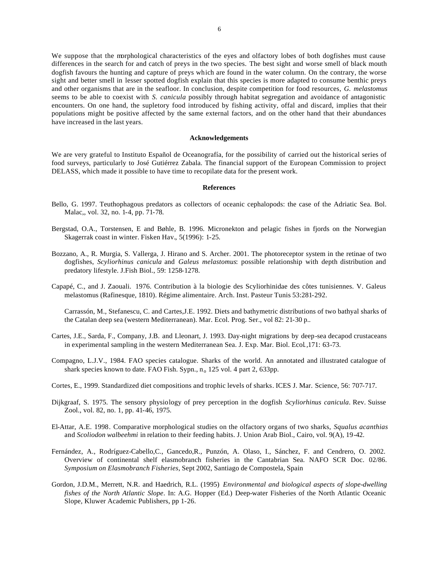We suppose that the morphological characteristics of the eyes and olfactory lobes of both dogfishes must cause differences in the search for and catch of preys in the two species. The best sight and worse smell of black mouth dogfish favours the hunting and capture of preys which are found in the water column. On the contrary, the worse sight and better smell in lesser spotted dogfish explain that this species is more adapted to consume benthic preys and other organisms that are in the seafloor. In conclusion, despite competition for food resources, *G. melastomus* seems to be able to coexist with *S. canicula* possibly through habitat segregation and avoidance of antagonistic encounters. On one hand, the supletory food introduced by fishing activity, offal and discard, implies that their populations might be positive affected by the same external factors, and on the other hand that their abundances have increased in the last years.

## **Acknowledgements**

We are very grateful to Instituto Español de Oceanografía, for the possibility of carried out the historical series of food surveys, particularly to José Gutiérrez Zabala. The financial support of the European Commission to project DELASS, which made it possible to have time to recopilate data for the present work.

## **References**

- Bello, G. 1997. Teuthophagous predators as collectors of oceanic cephalopods: the case of the Adriatic Sea. Bol. Malac,, vol. 32, no. 1-4, pp. 71-78.
- Bergstad, O.A., Torstensen, E and Bøhle, B. 1996. Micronekton and pelagic fishes in fjords on the Norwegian Skagerrak coast in winter. Fisken Hav.*,* 5(1996): 1-25.
- Bozzano, A., R. Murgia, S. Vallerga, J. Hirano and S. Archer. 2001. The photoreceptor system in the retinae of two dogfishes, *Scyliorhinus canicula* and *Galeus melastomus*: possible relationship with depth distribution and predatory lifestyle. J.Fish Biol., 59: 1258-1278.
- Capapé, C., and J. Zaouali. 1976. Contribution à la biologie des Scyliorhinidae des côtes tunisiennes. V. Galeus melastomus (Rafinesque, 1810). Régime alimentaire. Arch. Inst. Pasteur Tunis 53:281-292.

Carrassón, M., Stefanescu, C. and Cartes,J.E. 1992. Diets and bathymetric distributions of two bathyal sharks of the Catalan deep sea (western Mediterranean). Mar. Ecol. Prog. Ser., vol 82: 21-30 p..

- Cartes, J.E., Sarda, F., Company, J.B. and Lleonart, J. 1993. Day-night migrations by deep-sea decapod crustaceans in experimental sampling in the western Mediterranean Sea. J. Exp. Mar. Biol. Ecol*.,*171: 63-73.
- Compagno, L.J.V., 1984. FAO species catalogue. Sharks of the world. An annotated and illustrated catalogue of shark species known to date. FAO Fish. Sypn.,  $n_0$  125 vol. 4 part 2, 633pp.
- Cortes, E., 1999. Standardized diet compositions and trophic levels of sharks*.* ICES J. Mar. Science, 56: 707-717.
- Dijkgraaf, S. 1975. The sensory physiology of prey perception in the dogfish *Scyliorhinus canicula*. Rev. Suisse Zool., vol. 82, no. 1, pp. 41-46, 1975.
- El-Attar, A.E. 1998*.* Comparative morphological studies on the olfactory organs of two sharks, *Squalus acanthias* and *Scoliodon walbeehmi* in relation to their feeding habits. J. Union Arab Biol., Cairo, vol. 9(A), 19-42.
- Fernández, A., Rodríguez-Cabello,C., Gancedo,R., Punzón, A. Olaso, I., Sánchez, F. and Cendrero, O. 2002. Overview of continental shelf elasmobranch fisheries in the Cantabrian Sea. NAFO SCR Doc. 02/86. *Symposium on Elasmobranch Fisheries*, Sept 2002, Santiago de Compostela, Spain
- Gordon, J.D.M., Merrett, N.R. and Haedrich, R.L. (1995) *Environmental and biological aspects of slope-dwelling fishes of the North Atlantic Slope*. In: A.G. Hopper (Ed.) Deep-water Fisheries of the North Atlantic Oceanic Slope, Kluwer Academic Publishers, pp 1-26.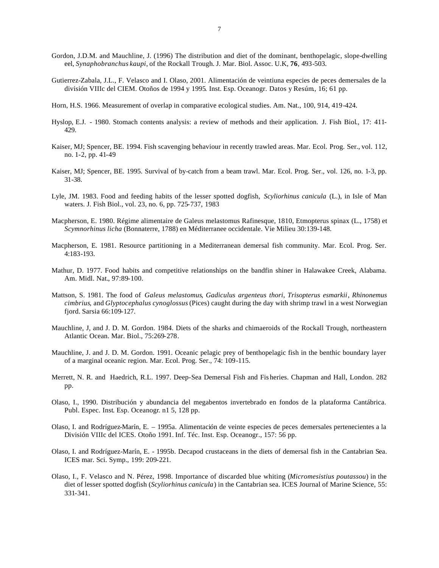- Gordon, J.D.M. and Mauchline, J. (1996) The distribution and diet of the dominant, benthopelagic, slope-dwelling eel, *Synaphobranchus kaupi*, of the Rockall Trough*.* J. Mar. Biol. Assoc. U.K, **76**, 493-503.
- Gutierrez-Zabala, J.L., F. Velasco and I. Olaso, 2001. Alimentación de veintiuna especies de peces demersales de la división VIIIc del CIEM. Otoños de 1994 y 1995*.* Inst. Esp. Oceanogr. Datos y Resúm*.*, 16; 61 pp.
- Horn, H.S. 1966. Measurement of overlap in comparative ecological studies. Am. Nat., 100, 914, 419-424.
- Hyslop, E.J. 1980. Stomach contents analysis: a review of methods and their application. J. Fish Biol., 17: 411- 429.
- Kaiser, MJ; Spencer, BE. 1994. Fish scavenging behaviour in recently trawled areas. Mar. Ecol. Prog. Ser., vol. 112, no. 1-2, pp. 41-49
- Kaiser, MJ; Spencer, BE. 1995. Survival of by-catch from a beam trawl. Mar. Ecol. Prog. Ser., vol. 126, no. 1-3, pp. 31-38.
- Lyle, JM. 1983. Food and feeding habits of the lesser spotted dogfish, *Scyliorhinus canicula* (L.), in Isle of Man waters. J. Fish Biol., vol. 23, no. 6, pp. 725-737, 1983
- Macpherson, E. 1980. Régime alimentaire de Galeus melastomus Rafinesque, 1810, Etmopterus spinax (L., 1758) et *Scymnorhinus licha* (Bonnaterre, 1788) en Méditerranee occidentale. Vie Milieu 30:139-148.
- Macpherson, E. 1981. Resource partitioning in a Mediterranean demersal fish community. Mar. Ecol. Prog. Ser. 4:183-193.
- Mathur, D. 1977. Food habits and competitive relationships on the bandfin shiner in Halawakee Creek, Alabama. Am. Midl. Nat.*,* 97:89-100.
- Mattson, S. 1981. The food of *Galeus melastomus*, *Gadiculus argenteus thori*, *Trisopterus esmarkii*, *Rhinonemus cimbrius*, and *Glyptocephalus cynoglossus* (Pices) caught during the day with shrimp trawl in a west Norwegian fjord. Sarsia 66:109-127.
- Mauchline, J, and J. D. M. Gordon. 1984. Diets of the sharks and chimaeroids of the Rockall Trough, northeastern Atlantic Ocean. Mar. Biol., 75:269-278.
- Mauchline, J. and J. D. M. Gordon. 1991. Oceanic pelagic prey of benthopelagic fish in the benthic boundary layer of a marginal oceanic region. Mar. Ecol. Prog. Ser., 74: 109-115.
- Merrett, N. R. and Haedrich, R.L. 1997. Deep-Sea Demersal Fish and Fis heries. Chapman and Hall, London. 282 pp.
- Olaso, I., 1990. Distribución y abundancia del megabentos invertebrado en fondos de la plataforma Cantábrica. Publ. Espec. Inst. Esp. Oceanogr. n1 5, 128 pp.
- Olaso, I. and Rodríguez-Marín, E. 1995a. Alimentación de veinte especies de peces demersales pertenecientes a la División VIIIc del ICES. Otoño 1991. Inf. Téc. Inst. Esp. Oceanogr., 157: 56 pp.
- Olaso, I. and Rodríguez-Marín, E. 1995b. Decapod crustaceans in the diets of demersal fish in the Cantabrian Sea. ICES mar. Sci. Symp., 199: 209-221.
- Olaso, I., F. Velasco and N. Pérez, 1998. Importance of discarded blue whiting (*Micromesistius poutassou*) in the diet of lesser spotted dogfish (*Scyliorhinus canicula*) in the Cantabrian sea. ICES Journal of Marine Science, 55: 331-341.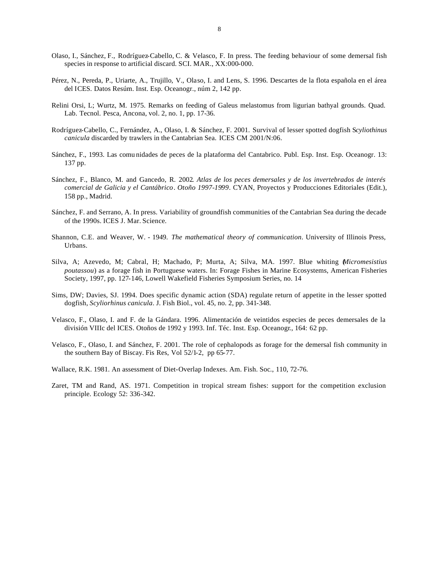- Olaso, I., Sánchez, F., Rodríguez-Cabello, C. & Velasco, F. In press. The feeding behaviour of some demersal fish species in response to artificial discard. SCI. MAR., XX:000-000.
- Pérez, N., Pereda, P., Uriarte, A., Trujillo, V., Olaso, I. and Lens, S. 1996. Descartes de la flota española en el área del ICES. Datos Resúm. Inst. Esp. Oceanogr., núm 2, 142 pp.
- Relini Orsi, L; Wurtz, M. 1975. Remarks on feeding of Galeus melastomus from ligurian bathyal grounds. Quad. Lab. Tecnol. Pesca, Ancona, vol. 2, no. 1, pp. 17-36.
- Rodríguez-Cabello, C., Fernández, A., Olaso, I. & Sánchez, F. 2001. Survival of lesser spotted dogfish S*cyliothinus canicula* discarded by trawlers in the Cantabrian Sea. ICES CM 2001/N:06.
- Sánchez, F., 1993. Las comu nidades de peces de la plataforma del Cantabrico. Publ. Esp. Inst. Esp. Oceanogr. 13: 137 pp.
- Sánchez, F., Blanco, M. and Gancedo, R. 2002*. Atlas de los peces demersales y de los invertebrados de interés comercial de Galicia y el Cantábrico*. *Otoño 1997-1999*. CYAN, Proyectos y Producciones Editoriales (Edit.), 158 pp., Madrid.
- Sánchez, F. and Serrano, A. In press. Variability of groundfish communities of the Cantabrian Sea during the decade of the 1990s. ICES J. Mar. Science*.*
- Shannon, C.E. and Weaver, W. 1949. *The mathematical theory of communication*. University of Illinois Press, Urbans.
- Silva, A; Azevedo, M; Cabral, H; Machado, P; Murta, A; Silva, MA. 1997. Blue whiting (*Micromesistius poutassou*) as a forage fish in Portuguese waters. In: Forage Fishes in Marine Ecosystems, American Fisheries Society, 1997, pp. 127-146, Lowell Wakefield Fisheries Symposium Series, no. 14
- Sims, DW; Davies, SJ. 1994. Does specific dynamic action (SDA) regulate return of appetite in the lesser spotted dogfish, *Scyliorhinus canicula*. J. Fish Biol., vol. 45, no. 2, pp. 341-348.
- Velasco, F., Olaso, I. and F. de la Gándara. 1996. Alimentación de veintidos especies de peces demersales de la división VIIIc del ICES. Otoños de 1992 y 1993. Inf. Téc. Inst. Esp. Oceanogr*.*, 164: 62 pp.
- Velasco, F., Olaso, I. and Sánchez, F. 2001. The role of cephalopods as forage for the demersal fish community in the southern Bay of Biscay*.* Fis Res, Vol 52/1-2, pp 65-77.
- Wallace, R.K. 1981. An assessment of Diet-Overlap Indexes. Am. Fish. Soc*.*, 110, 72-76.
- Zaret, TM and Rand, AS. 1971. Competition in tropical stream fishes: support for the competition exclusion principle. Ecology 52: 336-342.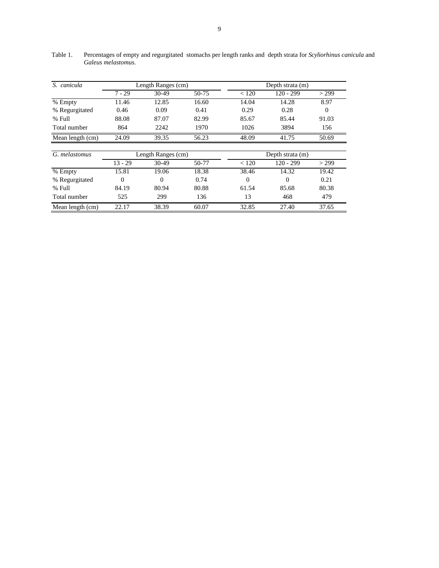| S. canicula      | Length Ranges (cm) |          |       | Depth strata (m) |                  |          |  |  |
|------------------|--------------------|----------|-------|------------------|------------------|----------|--|--|
|                  | $7 - 29$           | $30-49$  | 50-75 | < 120            | $120 - 299$      | > 299    |  |  |
| % Empty          | 11.46              | 12.85    | 16.60 | 14.04            | 14.28            | 8.97     |  |  |
| % Regurgitated   | 0.46               | 0.09     | 0.41  | 0.29             | 0.28             | $\theta$ |  |  |
| % Full           | 88.08              | 87.07    | 82.99 | 85.67            | 85.44            | 91.03    |  |  |
| Total number     | 864                | 2242     | 1970  | 1026             | 3894             | 156      |  |  |
| Mean length (cm) | 24.09              | 39.35    | 56.23 | 48.09            | 41.75            | 50.69    |  |  |
|                  |                    |          |       |                  |                  |          |  |  |
| G. melastomus    | Length Ranges (cm) |          |       |                  | Depth strata (m) |          |  |  |
|                  | $13 - 29$          | 30-49    | 50-77 | < 120            | $120 - 299$      | > 299    |  |  |
| % Empty          | 15.81              | 19.06    | 18.38 | 38.46            | 14.32            | 19.42    |  |  |
| % Regurgitated   | $\theta$           | $\Omega$ | 0.74  | $\Omega$         | $\Omega$         | 0.21     |  |  |
| % Full           | 84.19              | 80.94    | 80.88 | 61.54            | 85.68            | 80.38    |  |  |
| Total number     | 525                | 299      | 136   | 13               | 468              | 479      |  |  |
| Mean length (cm) | 22.17              | 38.39    | 60.07 | 32.85            | 27.40            | 37.65    |  |  |

Table 1. Percentages of empty and regurgitated stomachs per length ranks and depth strata for *Scyliorhinus canicula* and *Galeus melastomus.*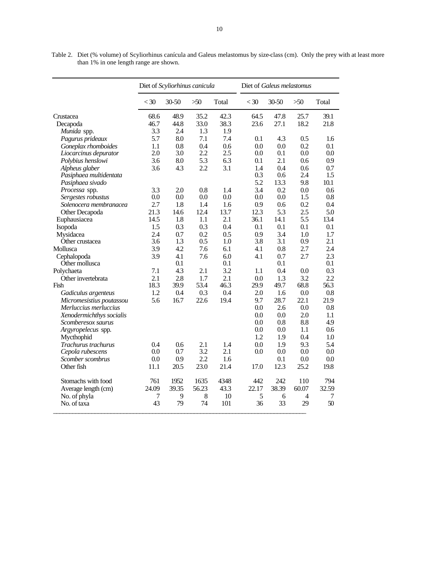|                          | Diet of Scyliorhinus canicula |       |       | Diet of Galeus melastomus |        |       |                |       |
|--------------------------|-------------------------------|-------|-------|---------------------------|--------|-------|----------------|-------|
|                          | $<$ 30                        | 30-50 | $>50$ | Total                     | $<$ 30 | 30-50 | $>50$          | Total |
| Crustacea                | 68.6                          | 48.9  | 35.2  | 42.3                      | 64.5   | 47.8  | 25.7           | 39.1  |
| Decapoda                 | 46.7                          | 44.8  | 33.0  | 38.3                      | 23.6   | 27.1  | 18.2           | 21.8  |
| Munida spp.              | 3.3                           | 2.4   | 1.3   | 1.9                       |        |       |                |       |
| Pagurus prideaux         | 5.7                           | 8.0   | 7.1   | 7.4                       | 0.1    | 4.3   | 0.5            | 1.6   |
| Goneplax rhomboides      | 1.1                           | 0.8   | 0.4   | 0.6                       | 0.0    | 0.0   | 0.2            | 0.1   |
| Liocarcinus depurator    | 2.0                           | 3.0   | 2.2   | 2.5                       | 0.0    | 0.1   | 0.0            | 0.0   |
| Polybius henslowi        | 3.6                           | 8.0   | 5.3   | 6.3                       | 0.1    | 2.1   | 0.6            | 0.9   |
| Alpheus glaber           | 3.6                           | 4.3   | 2.2   | 3.1                       | 1.4    | 0.4   | 0.6            | 0.7   |
| Pasiphaea multidentata   |                               |       |       |                           | 0.3    | 0.6   | 2.4            | 1.5   |
| Pasiphaea sivado         |                               |       |       |                           | 5.2    | 13.3  | 9.8            | 10.1  |
| Processa spp.            | 3.3                           | 2.0   | 0.8   | 1.4                       | 3.4    | 0.2   | 0.0            | 0.6   |
| Sergestes robustus       | 0.0                           | 0.0   | 0.0   | 0.0                       | 0.0    | 0.0   | 1.5            | 0.8   |
| Solenocera membranacea   | 2.7                           | 1.8   | 1.4   | 1.6                       | 0.9    | 0.6   | 0.2            | 0.4   |
|                          | 21.3                          | 14.6  | 12.4  | 13.7                      | 12.3   | 5.3   | 2.5            | 5.0   |
| Other Decapoda           | 14.5                          | 1.8   | 1.1   | 2.1                       | 36.1   | 14.1  | 5.5            | 13.4  |
| Euphausiacea             |                               |       |       |                           |        |       |                |       |
| Isopoda                  | 1.5                           | 0.3   | 0.3   | 0.4                       | 0.1    | 0.1   | 0.1            | 0.1   |
| Mysidacea                | 2.4                           | 0.7   | 0.2   | 0.5                       | 0.9    | 3.4   | 1.0            | 1.7   |
| Other crustacea          | 3.6                           | 1.3   | 0.5   | 1.0                       | 3.8    | 3.1   | 0.9            | 2.1   |
| Mollusca                 | 3.9                           | 4.2   | 7.6   | 6.1                       | 4.1    | 0.8   | 2.7            | 2.4   |
| Cephalopoda              | 3.9                           | 4.1   | 7.6   | 6.0                       | 4.1    | 0.7   | 2.7            | 2.3   |
| Other mollusca           |                               | 0.1   |       | 0.1                       |        | 0.1   |                | 0.1   |
| Polychaeta               | 7.1                           | 4.3   | 2.1   | 3.2                       | 1.1    | 0.4   | 0.0            | 0.3   |
| Other invertebrata       | 2.1                           | 2.8   | 1.7   | 2.1                       | 0.0    | 1.3   | 3.2            | 2.2   |
| Fish                     | 18.3                          | 39.9  | 53.4  | 46.3                      | 29.9   | 49.7  | 68.8           | 56.3  |
| Gadiculus argenteus      | 1.2                           | 0.4   | 0.3   | 0.4                       | 2.0    | 1.6   | 0.0            | 0.8   |
| Micromesistius poutassou | 5.6                           | 16.7  | 22.6  | 19.4                      | 9.7    | 28.7  | 22.1           | 21.9  |
| Merluccius merluccius    |                               |       |       |                           | 0.0    | 2.6   | 0.0            | 0.8   |
| Xenodermichthys socialis |                               |       |       |                           | 0.0    | 0.0   | 2.0            | 1.1   |
| Scomberesox saurus       |                               |       |       |                           | 0.0    | 0.8   | 8.8            | 4.9   |
| Argyropelecus spp.       |                               |       |       |                           | 0.0    | 0.0   | 1.1            | 0.6   |
| Mycthophid               |                               |       |       |                           | 1.2    | 1.9   | 0.4            | 1.0   |
| Trachurus trachurus      | 0.4                           | 0.6   | 2.1   | 1.4                       | 0.0    | 1.9   | 9.3            | 5.4   |
| Cepola rubescens         | 0.0                           | 0.7   | 3.2   | 2.1                       | 0.0    | 0.0   | 0.0            | 0.0   |
| Scomber scombrus         | 0.0                           | 0.9   | 2.2   | 1.6                       |        | 0.1   | 0.0            | 0.0   |
| Other fish               | 11.1                          | 20.5  | 23.0  | 21.4                      | 17.0   | 12.3  | 25.2           | 19.8  |
| Stomachs with food       | 761                           | 1952  | 1635  | 4348                      | 442    | 242   | 110            | 794   |
| Average length (cm)      | 24.09                         | 39.35 | 56.23 | 43.3                      | 22.17  | 38.39 | 60.07          | 32.59 |
| No. of phyla             | 7                             | 9     | 8     | 10                        | 5      | 6     | $\overline{4}$ | 7     |
| No. of taxa              | 43                            | 79    | 74    | 101                       | 36     | 33    | 29             | 50    |

Table 2. Diet (% volume) of Scyliorhinus canícula and Galeus melastomus by size-class (cm). Only the prey with at least more than 1% in one length range are shown.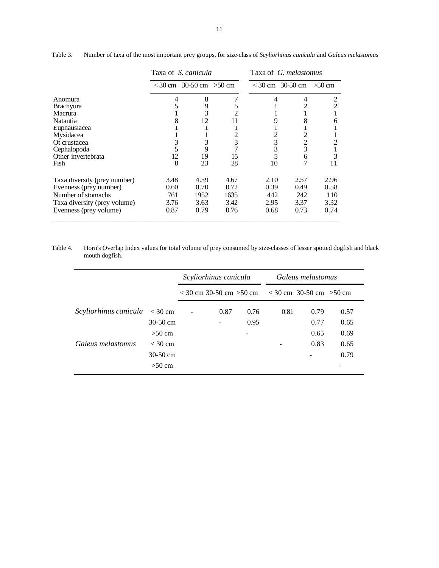|                              | Taxa of S. canicula |                              |      | Taxa of G. melastomus |                              |                |
|------------------------------|---------------------|------------------------------|------|-----------------------|------------------------------|----------------|
|                              |                     | $<$ 30 cm 30-50 cm $>$ 50 cm |      |                       | $<$ 30 cm 30-50 cm $>$ 50 cm |                |
| Anomura                      | 4                   | 8                            | 7    | 4                     | 4                            | $\overline{2}$ |
| <b>Brachyura</b>             | 5                   | 9                            | 5    |                       | 2                            | 2              |
| Macrura                      |                     | 3                            |      |                       |                              |                |
| <b>Natantia</b>              | 8                   | 12                           | 11   | 9                     | 8                            | 6              |
| Euphausiacea                 |                     |                              |      |                       |                              |                |
| Mysidacea                    |                     |                              |      | 2                     | 2                            |                |
| Ot crustacea                 | 3                   | 3                            | 3    | 3                     | 2                            | 2              |
| Cephalopoda                  |                     | 9                            |      | 3                     | 3                            |                |
| Other invertebrata           | 12                  | 19                           | 15   | 5                     | 6                            | 3              |
| Fish                         | 8                   | 23                           | 28   | 10                    |                              | 11             |
| Taxa diversity (prey number) | 3.48                | 4.59                         | 4.67 | 2.10                  | 2.57                         | 2.96           |
| Evenness (prey number)       | 0.60                | 0.70                         | 0.72 | 0.39                  | 0.49                         | 0.58           |
| Number of stomachs           | 761                 | 1952                         | 1635 | 442                   | 242                          | 110            |
| Taxa diversity (prey volume) | 3.76                | 3.63                         | 3.42 | 2.95                  | 3.37                         | 3.32           |
| Evenness (prey volume)       | 0.87                | 0.79                         | 0.76 | 0.68                  | 0.73                         | 0.74           |

Table 3. Number of taxa of the most important prey groups, for size-class of *Scyliorhinus canícula* and *Galeus melastomus*

Table 4. Horn's Overlap Index values for total volume of prey consumed by size-classes of lesser spotted dogfish and black mouth dogfish.

|                       |            | Scyliorhinus canicula |                              |      | Galeus melastomus            |      |      |
|-----------------------|------------|-----------------------|------------------------------|------|------------------------------|------|------|
|                       |            |                       | $<$ 30 cm 30-50 cm $>$ 50 cm |      | $<$ 30 cm 30-50 cm $>$ 50 cm |      |      |
| Scyliorhinus canicula | $<$ 30 cm  |                       | 0.87                         | 0.76 | 0.81                         | 0.79 | 0.57 |
|                       | $30-50$ cm |                       |                              | 0.95 |                              | 0.77 | 0.65 |
|                       | $>50$ cm   |                       |                              |      |                              | 0.65 | 0.69 |
| Galeus melastomus     | $<$ 30 cm  |                       |                              |      |                              | 0.83 | 0.65 |
|                       | $30-50$ cm |                       |                              |      |                              |      | 0.79 |
|                       | $>50$ cm   |                       |                              |      |                              |      |      |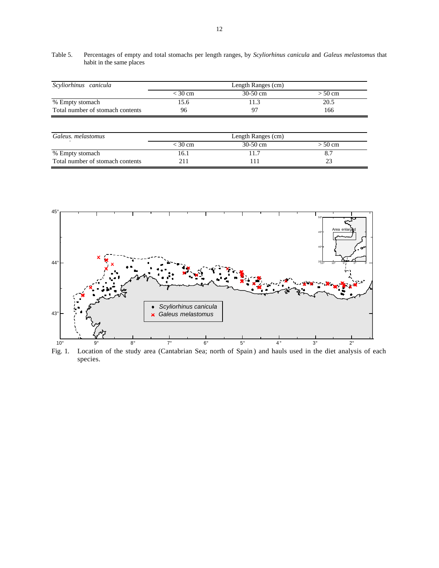Table 5. Percentages of empty and total stomachs per length ranges, by *Scyliorhinus canicula* and *Galeus melastomus* that habit in the same places

| Scyliorhinus canicula            | Length Ranges (cm) |            |           |  |  |  |
|----------------------------------|--------------------|------------|-----------|--|--|--|
|                                  | $<$ 30 cm          | $30-50$ cm | $> 50$ cm |  |  |  |
| % Empty stomach                  | 0.כ                |            | 20.5      |  |  |  |
| Total number of stomach contents | 96                 | 97         | 166       |  |  |  |

| Galeus, melastomus               | Length Ranges (cm) |            |           |  |  |  |
|----------------------------------|--------------------|------------|-----------|--|--|--|
|                                  | < 30 cm            | $30-50$ cm | $> 50$ cm |  |  |  |
| % Empty stomach                  | 16.1               |            |           |  |  |  |
| Total number of stomach contents |                    |            |           |  |  |  |



Fig. 1. Location of the study area (Cantabrian Sea; north of Spain ) and hauls used in the diet analysis of each species.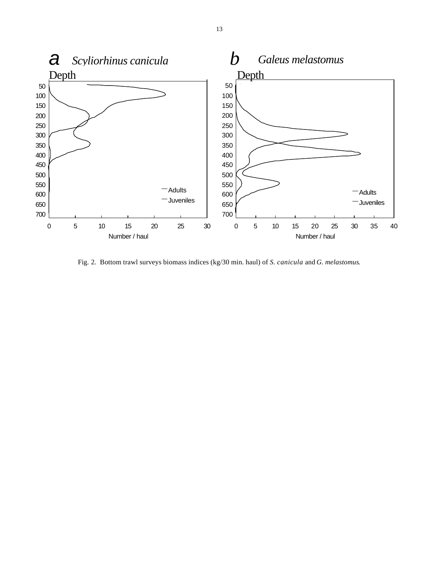

Fig. 2. Bottom trawl surveys biomass indices (kg/30 min. haul) of *S. canicula* and *G. melastomus*.